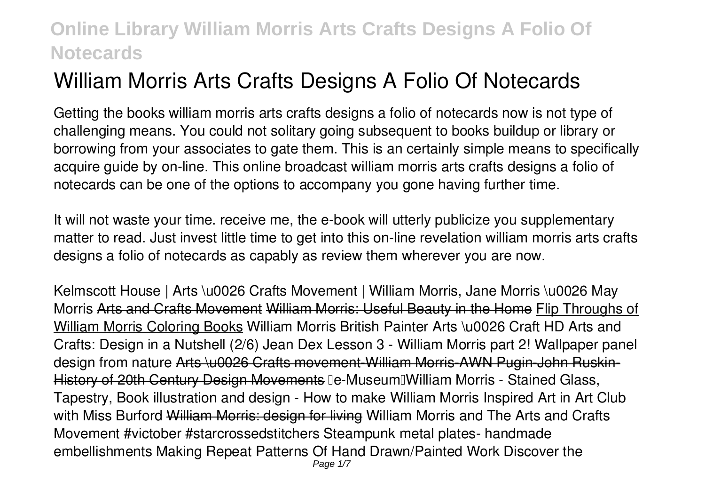# **William Morris Arts Crafts Designs A Folio Of Notecards**

Getting the books **william morris arts crafts designs a folio of notecards** now is not type of challenging means. You could not solitary going subsequent to books buildup or library or borrowing from your associates to gate them. This is an certainly simple means to specifically acquire guide by on-line. This online broadcast william morris arts crafts designs a folio of notecards can be one of the options to accompany you gone having further time.

It will not waste your time. receive me, the e-book will utterly publicize you supplementary matter to read. Just invest little time to get into this on-line revelation **william morris arts crafts designs a folio of notecards** as capably as review them wherever you are now.

*Kelmscott House | Arts \u0026 Crafts Movement | William Morris, Jane Morris \u0026 May Morris* Arts and Crafts Movement William Morris: Useful Beauty in the Home Flip Throughs of William Morris Coloring Books William Morris British Painter Arts \u0026 Craft HD Arts and Crafts: Design in a Nutshell (2/6) *Jean Dex Lesson 3 - William Morris part 2! Wallpaper panel design from nature* Arts \u0026 Crafts movement-William Morris-AWN Pugin-John Ruskin-History of 20th Century Design Movements *【e-Museum】William Morris - Stained Glass, Tapestry, Book illustration and design -* **How to make William Morris Inspired Art in Art Club with Miss Burford** William Morris: design for living **William Morris and The Arts and Crafts Movement #victober #starcrossedstitchers** *Steampunk metal plates- handmade embellishments Making Repeat Patterns Of Hand Drawn/Painted Work Discover the* Page 1/7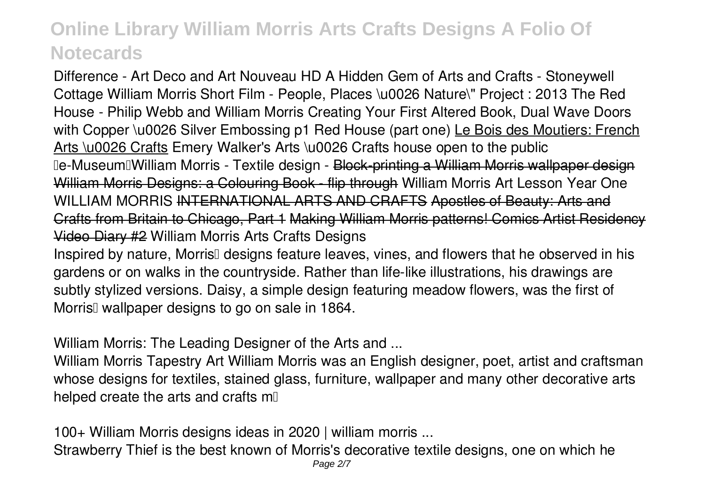*Difference - Art Deco and Art Nouveau HD A Hidden Gem of Arts and Crafts - Stoneywell Cottage* **William Morris Short Film - People, Places \u0026 Nature\" Project : 2013 The Red House - Philip Webb and William Morris Creating Your First Altered Book, Dual Wave Doors with Copper \u0026 Silver Embossing p1** Red House (part one) Le Bois des Moutiers: French Arts \u0026 Crafts *Emery Walker's Arts \u0026 Crafts house open to the public 【e-Museum】William Morris - Textile design -* Block-printing a William Morris wallpaper design William Morris Designs: a Colouring Book - flip through *William Morris Art Lesson Year One* **WILLIAM MORRIS** INTERNATIONAL ARTS AND CRAFTS Apostles of Beauty: Arts and Crafts from Britain to Chicago, Part 1 Making William Morris patterns! Comics Artist Residency Video Diary #2 *William Morris Arts Crafts Designs*

Inspired by nature, Morris<sup>[]</sup> designs feature leaves, vines, and flowers that he observed in his gardens or on walks in the countryside. Rather than life-like illustrations, his drawings are subtly stylized versions. Daisy, a simple design featuring meadow flowers, was the first of Morris<sup>II</sup> wallpaper designs to go on sale in 1864.

*William Morris: The Leading Designer of the Arts and ...*

William Morris Tapestry Art William Morris was an English designer, poet, artist and craftsman whose designs for textiles, stained glass, furniture, wallpaper and many other decorative arts helped create the arts and crafts m

*100+ William Morris designs ideas in 2020 | william morris ...*

Strawberry Thief is the best known of Morris's decorative textile designs, one on which he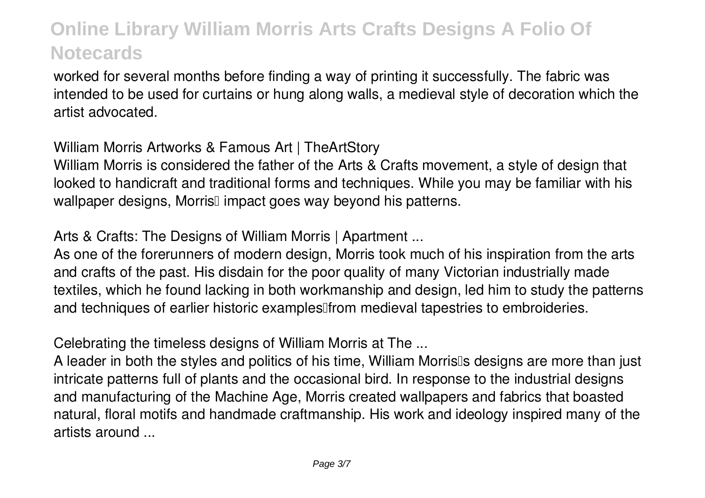worked for several months before finding a way of printing it successfully. The fabric was intended to be used for curtains or hung along walls, a medieval style of decoration which the artist advocated.

*William Morris Artworks & Famous Art | TheArtStory*

William Morris is considered the father of the Arts & Crafts movement, a style of design that looked to handicraft and traditional forms and techniques. While you may be familiar with his wallpaper designs, Morris<sup>[]</sup> impact goes way beyond his patterns.

*Arts & Crafts: The Designs of William Morris | Apartment ...*

As one of the forerunners of modern design, Morris took much of his inspiration from the arts and crafts of the past. His disdain for the poor quality of many Victorian industrially made textiles, which he found lacking in both workmanship and design, led him to study the patterns and techniques of earlier historic examples<sup>[[from medieval tapestries to embroideries.]</sup>

*Celebrating the timeless designs of William Morris at The ...*

A leader in both the styles and politics of his time, William Morris<sup>th</sup>s designs are more than just intricate patterns full of plants and the occasional bird. In response to the industrial designs and manufacturing of the Machine Age, Morris created wallpapers and fabrics that boasted natural, floral motifs and handmade craftmanship. His work and ideology inspired many of the artists around ...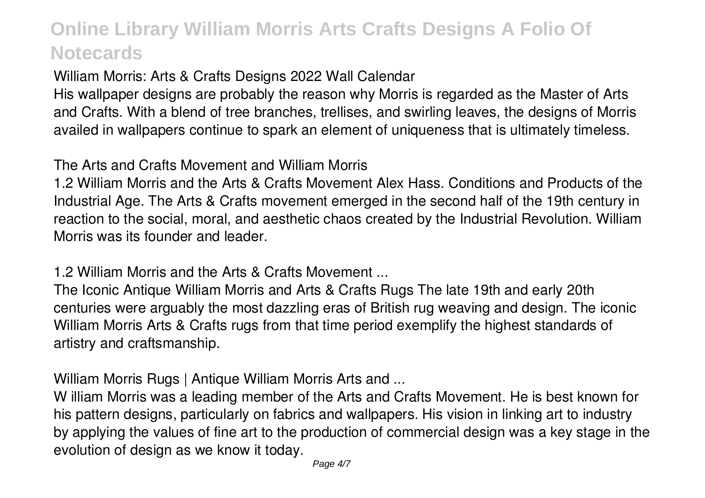*William Morris: Arts & Crafts Designs 2022 Wall Calendar*

His wallpaper designs are probably the reason why Morris is regarded as the Master of Arts and Crafts. With a blend of tree branches, trellises, and swirling leaves, the designs of Morris availed in wallpapers continue to spark an element of uniqueness that is ultimately timeless.

*The Arts and Crafts Movement and William Morris*

1.2 William Morris and the Arts & Crafts Movement Alex Hass. Conditions and Products of the Industrial Age. The Arts & Crafts movement emerged in the second half of the 19th century in reaction to the social, moral, and aesthetic chaos created by the Industrial Revolution. William Morris was its founder and leader.

*1.2 William Morris and the Arts & Crafts Movement ...*

The Iconic Antique William Morris and Arts & Crafts Rugs The late 19th and early 20th centuries were arguably the most dazzling eras of British rug weaving and design. The iconic William Morris Arts & Crafts rugs from that time period exemplify the highest standards of artistry and craftsmanship.

*William Morris Rugs | Antique William Morris Arts and ...*

W illiam Morris was a leading member of the Arts and Crafts Movement. He is best known for his pattern designs, particularly on fabrics and wallpapers. His vision in linking art to industry by applying the values of fine art to the production of commercial design was a key stage in the evolution of design as we know it today.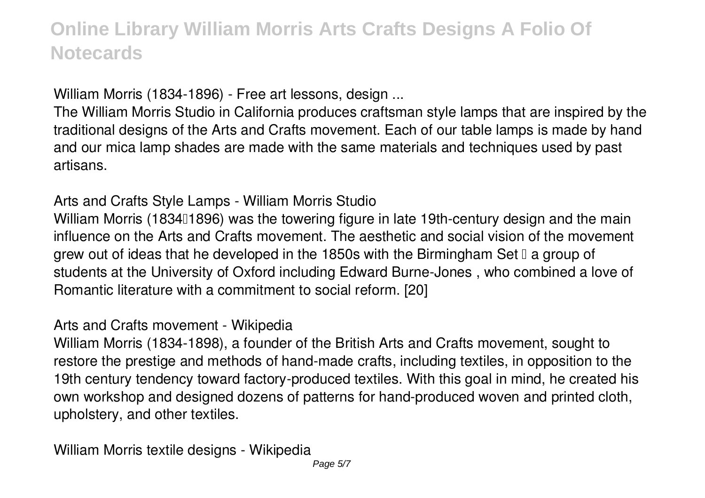*William Morris (1834-1896) - Free art lessons, design ...*

The William Morris Studio in California produces craftsman style lamps that are inspired by the traditional designs of the Arts and Crafts movement. Each of our table lamps is made by hand and our mica lamp shades are made with the same materials and techniques used by past artisans.

*Arts and Crafts Style Lamps - William Morris Studio*

William Morris (183411896) was the towering figure in late 19th-century design and the main influence on the Arts and Crafts movement. The aesthetic and social vision of the movement grew out of ideas that he developed in the 1850s with the Birmingham Set  $\mathbb I$  a group of students at the University of Oxford including Edward Burne-Jones , who combined a love of Romantic literature with a commitment to social reform. [20]

*Arts and Crafts movement - Wikipedia*

William Morris (1834-1898), a founder of the British Arts and Crafts movement, sought to restore the prestige and methods of hand-made crafts, including textiles, in opposition to the 19th century tendency toward factory-produced textiles. With this goal in mind, he created his own workshop and designed dozens of patterns for hand-produced woven and printed cloth, upholstery, and other textiles.

*William Morris textile designs - Wikipedia*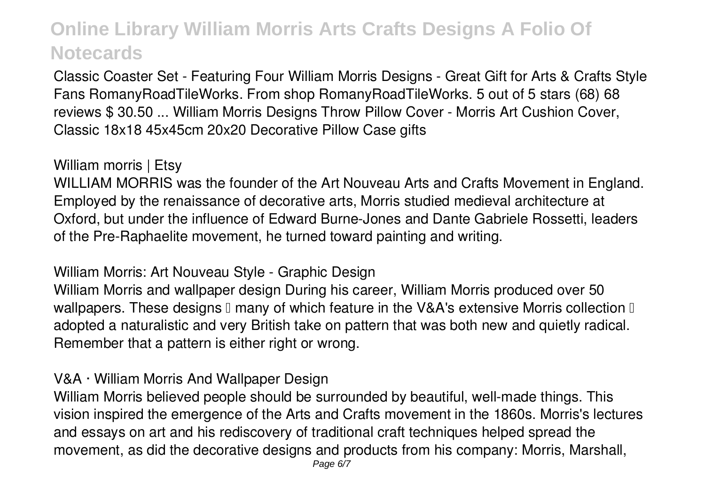Classic Coaster Set - Featuring Four William Morris Designs - Great Gift for Arts & Crafts Style Fans RomanyRoadTileWorks. From shop RomanyRoadTileWorks. 5 out of 5 stars (68) 68 reviews \$ 30.50 ... William Morris Designs Throw Pillow Cover - Morris Art Cushion Cover, Classic 18x18 45x45cm 20x20 Decorative Pillow Case gifts

#### *William morris | Etsy*

WILLIAM MORRIS was the founder of the Art Nouveau Arts and Crafts Movement in England. Employed by the renaissance of decorative arts, Morris studied medieval architecture at Oxford, but under the influence of Edward Burne-Jones and Dante Gabriele Rossetti, leaders of the Pre-Raphaelite movement, he turned toward painting and writing.

#### *William Morris: Art Nouveau Style - Graphic Design*

William Morris and wallpaper design During his career, William Morris produced over 50 wallpapers. These designs  $\mathbb I$  many of which feature in the V&A's extensive Morris collection  $\mathbb I$ adopted a naturalistic and very British take on pattern that was both new and quietly radical. Remember that a pattern is either right or wrong.

#### *V&A · William Morris And Wallpaper Design*

William Morris believed people should be surrounded by beautiful, well-made things. This vision inspired the emergence of the Arts and Crafts movement in the 1860s. Morris's lectures and essays on art and his rediscovery of traditional craft techniques helped spread the movement, as did the decorative designs and products from his company: Morris, Marshall,